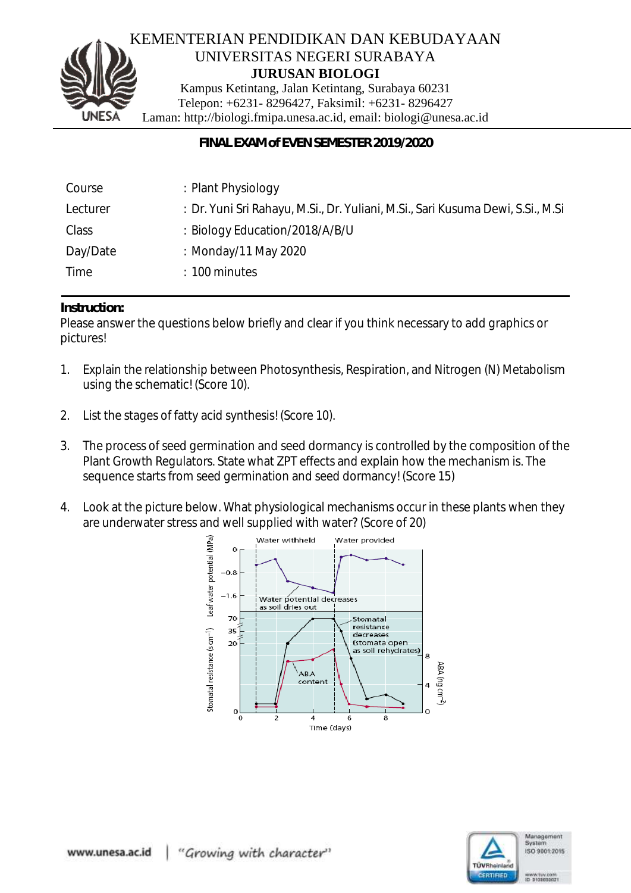

### *FINAL EXAM of EVEN SEMESTER 2019/2020*

| Course   | : Plant Physiology                                                              |
|----------|---------------------------------------------------------------------------------|
| Lecturer | : Dr. Yuni Sri Rahayu, M.Si., Dr. Yuliani, M.Si., Sari Kusuma Dewi, S.Si., M.Si |
| Class    | : Biology Education/2018/A/B/U                                                  |
| Day/Date | : Monday/11 May 2020                                                            |
| Time     | $\therefore$ 100 minutes                                                        |

#### *Instruction:*

Please answer the questions below briefly and clear if you think necessary to add graphics or pictures!

- 1. Explain the relationship between Photosynthesis, Respiration, and Nitrogen (N) Metabolism using the schematic! (Score 10).
- 2. List the stages of fatty acid synthesis! (Score 10).
- 3. The process of seed germination and seed dormancy is controlled by the composition of the Plant Growth Regulators. State what ZPT effects and explain how the mechanism is. The sequence starts from seed germination and seed dormancy! (Score 15)
- 4. Look at the picture below. What physiological mechanisms occur in these plants when they are underwater stress and well supplied with water? (Score of 20)



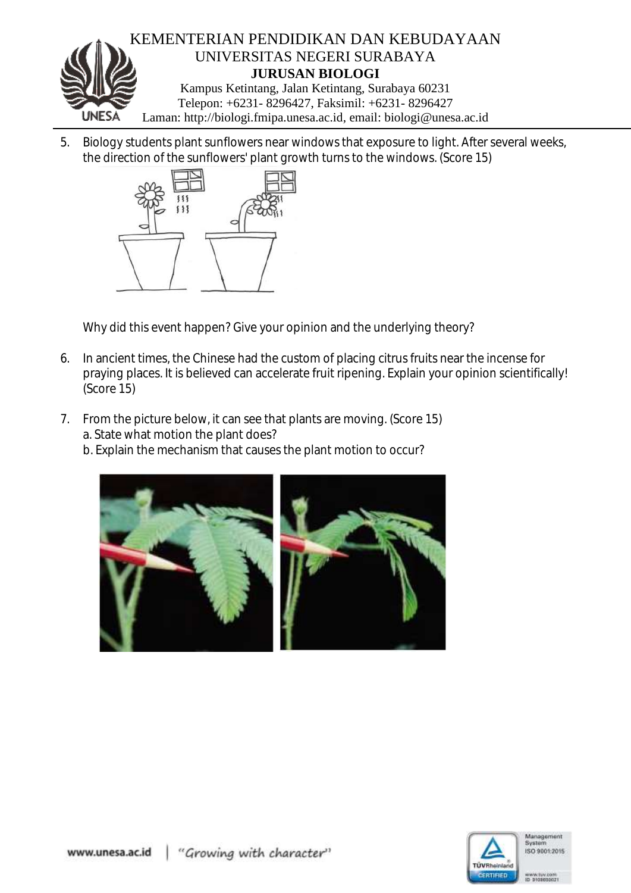

5. Biology students plant sunflowers near windows that exposure to light. After several weeks, the direction of the sunflowers' plant growth turns to the windows. (Score 15)



Why did this event happen? Give your opinion and the underlying theory?

- 6. In ancient times, the Chinese had the custom of placing citrus fruits near the incense for praying places. It is believed can accelerate fruit ripening. Explain your opinion scientifically! (Score 15)
- 7. From the picture below, it can see that plants are moving. (Score 15) a. State what motion the plant does?
	- b. Explain the mechanism that causes the plant motion to occur?



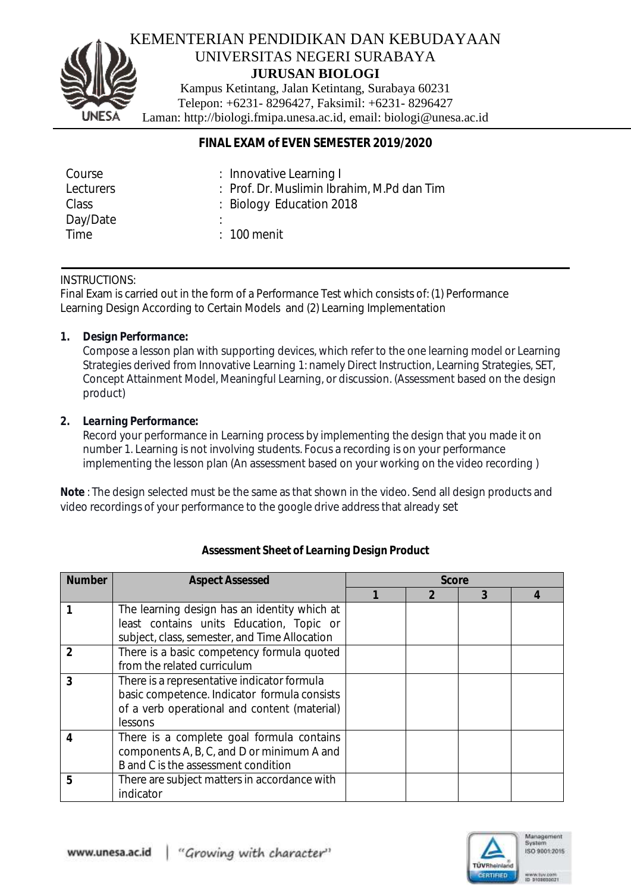

## KEMENTERIAN PENDIDIKAN DAN KEBUDAYAAN UNIVERSITAS NEGERI SURABAYA **JURUSAN BIOLOGI**

Kampus Ketintang, Jalan Ketintang, Surabaya 60231 Telepon: +6231- 8296427, Faksimil: +6231- 8296427 Laman: http://biologi.fmipa.unesa.ac.id, email: [biologi@unesa.ac.id](mailto:biologi@unesa.ac.id)

## *FINAL EXAM of EVEN SEMESTER 2019/2020*

| Course    | : Innovative Learning I                    |
|-----------|--------------------------------------------|
| Lecturers | : Prof. Dr. Muslimin Ibrahim, M.Pd dan Tim |
| Class     | : Biology Education 2018                   |
| Day/Date  |                                            |
| Time      | $\therefore$ 100 menit                     |
|           |                                            |

#### INSTRUCTIONS:

Final Exam is carried out in the form of a Performance Test which consists of: (1) Performance Learning Design According to Certain Models and (2) Learning Implementation

*1. Design Performance:* 

Compose a lesson plan with supporting devices, which refer to the one learning model or Learning Strategies derived from Innovative Learning 1: namely Direct Instruction, Learning Strategies, SET, Concept Attainment Model, Meaningful Learning, or discussion. (Assessment based on the design product)

*2. Learning Performance:* 

Record your performance in Learning process by implementing the design that you made it on number 1. Learning is not involving students. Focus a recording is on your performance implementing the lesson plan (An assessment based on your working on the video recording )

*Note* : The design selected must be the same as that shown in the video. Send all design products and video recordings of your performance to the google drive address that already set

| Number | <b>Aspect Assessed</b>                                                                                                                                 |  | Score |  |  |  |
|--------|--------------------------------------------------------------------------------------------------------------------------------------------------------|--|-------|--|--|--|
|        |                                                                                                                                                        |  |       |  |  |  |
|        | The learning design has an identity which at<br>least contains units Education, Topic or<br>subject, class, semester, and Time Allocation              |  |       |  |  |  |
|        | There is a basic competency formula quoted<br>from the related curriculum                                                                              |  |       |  |  |  |
| 3      | There is a representative indicator formula<br>basic competence. Indicator formula consists<br>of a verb operational and content (material)<br>lessons |  |       |  |  |  |
|        | There is a complete goal formula contains<br>components A, B, C, and D or minimum A and<br>B and C is the assessment condition                         |  |       |  |  |  |
| 5      | There are subject matters in accordance with<br>indicator                                                                                              |  |       |  |  |  |

# *Assessment Sheet of Learning Design Product*

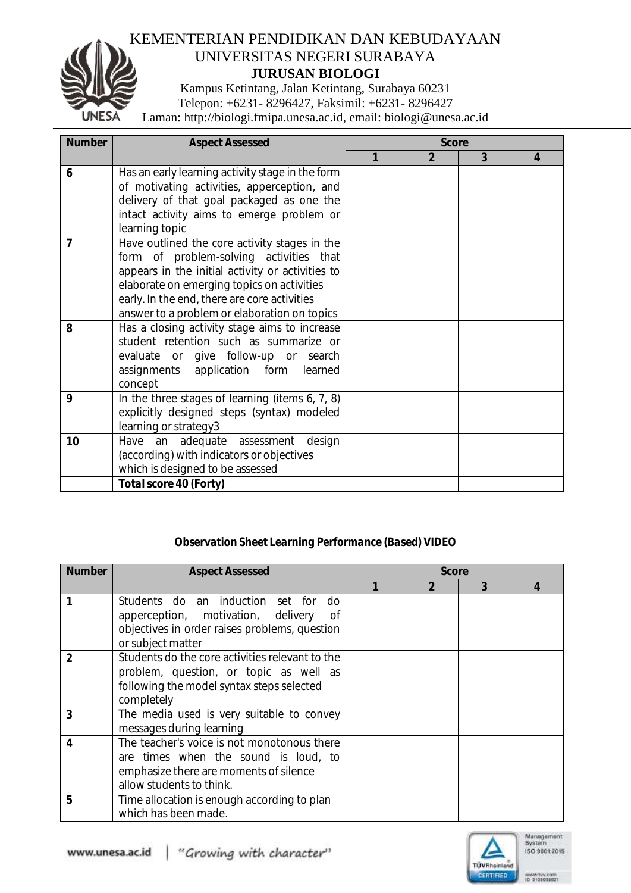

# KEMENTERIAN PENDIDIKAN DAN KEBUDAYAAN UNIVERSITAS NEGERI SURABAYA **JURUSAN BIOLOGI**

Kampus Ketintang, Jalan Ketintang, Surabaya 60231 Telepon: +6231- 8296427, Faksimil: +6231- 8296427 Laman: http://biologi.fmipa.unesa.ac.id, email: [biologi@unesa.ac.id](mailto:biologi@unesa.ac.id)

| <b>Number</b> | <b>Aspect Assessed</b>                                                                                                                                                                                                                                                                     |  | Score          |               |                |  |
|---------------|--------------------------------------------------------------------------------------------------------------------------------------------------------------------------------------------------------------------------------------------------------------------------------------------|--|----------------|---------------|----------------|--|
|               |                                                                                                                                                                                                                                                                                            |  | $\overline{2}$ | $\mathcal{E}$ | $\overline{4}$ |  |
| 6             | Has an early learning activity stage in the form<br>of motivating activities, apperception, and<br>delivery of that goal packaged as one the<br>intact activity aims to emerge problem or<br>learning topic                                                                                |  |                |               |                |  |
| 7             | Have outlined the core activity stages in the<br>form of problem-solving activities that<br>appears in the initial activity or activities to<br>elaborate on emerging topics on activities<br>early. In the end, there are core activities<br>answer to a problem or elaboration on topics |  |                |               |                |  |
| 8             | Has a closing activity stage aims to increase<br>student retention such as summarize or<br>evaluate or give follow-up or search<br>assignments application form<br>learned<br>concept                                                                                                      |  |                |               |                |  |
| 9             | In the three stages of learning (items 6, 7, 8)<br>explicitly designed steps (syntax) modeled<br>learning or strategy3                                                                                                                                                                     |  |                |               |                |  |
| 10            | Have an adequate assessment design<br>(according) with indicators or objectives<br>which is designed to be assessed<br>Total score 40 (Forty)                                                                                                                                              |  |                |               |                |  |
|               |                                                                                                                                                                                                                                                                                            |  |                |               |                |  |

# *Observation Sheet Learning Performance (Based) VIDEO*

| <b>Number</b> | <b>Aspect Assessed</b>                                                                                                                                    |  | Score |   |  |  |  |
|---------------|-----------------------------------------------------------------------------------------------------------------------------------------------------------|--|-------|---|--|--|--|
|               |                                                                                                                                                           |  |       | 3 |  |  |  |
|               | Students do an induction set for<br>do<br>apperception, motivation, delivery<br>0f<br>objectives in order raises problems, question<br>or subject matter  |  |       |   |  |  |  |
|               | Students do the core activities relevant to the<br>problem, question, or topic as well as<br>following the model syntax steps selected<br>completely      |  |       |   |  |  |  |
| 3             | The media used is very suitable to convey<br>messages during learning                                                                                     |  |       |   |  |  |  |
| 4             | The teacher's voice is not monotonous there<br>are times when the sound is loud, to<br>emphasize there are moments of silence<br>allow students to think. |  |       |   |  |  |  |
| 5             | Time allocation is enough according to plan<br>which has been made.                                                                                       |  |       |   |  |  |  |

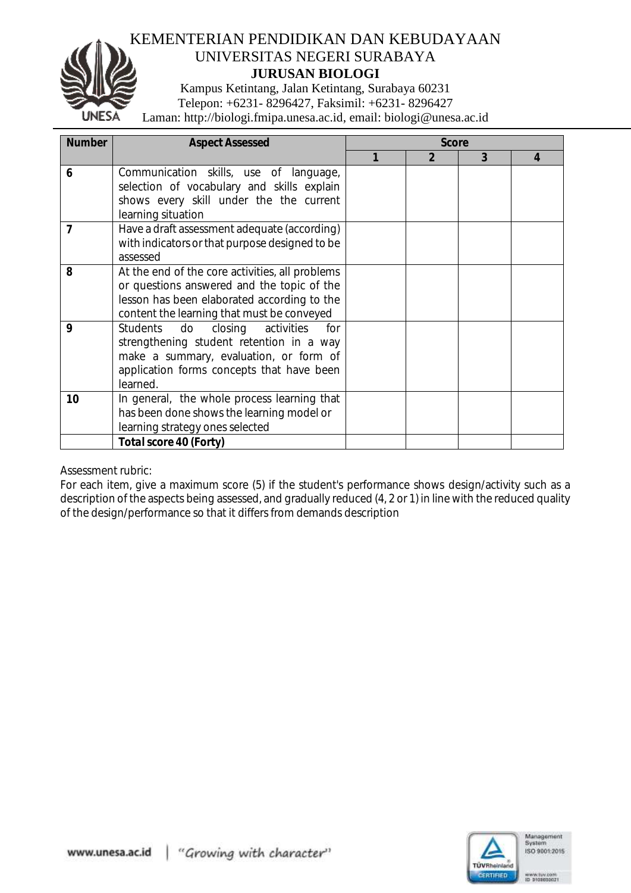

## KEMENTERIAN PENDIDIKAN DAN KEBUDAYAAN UNIVERSITAS NEGERI SURABAYA **JURUSAN BIOLOGI**

Kampus Ketintang, Jalan Ketintang, Surabaya 60231 Telepon: +6231- 8296427, Faksimil: +6231- 8296427 Laman: http://biologi.fmipa.unesa.ac.id, email: [biologi@unesa.ac.id](mailto:biologi@unesa.ac.id)

| Number | <b>Aspect Assessed</b>                                                                                                                                                                     |  | Score         |   |   |  |
|--------|--------------------------------------------------------------------------------------------------------------------------------------------------------------------------------------------|--|---------------|---|---|--|
|        |                                                                                                                                                                                            |  | $\mathcal{P}$ | 3 | 4 |  |
| 6      | Communication skills, use of language,<br>selection of vocabulary and skills explain<br>shows every skill under the the current<br>learning situation                                      |  |               |   |   |  |
| 7      | Have a draft assessment adequate (according)<br>with indicators or that purpose designed to be<br>assessed                                                                                 |  |               |   |   |  |
| 8      | At the end of the core activities, all problems<br>or questions answered and the topic of the<br>lesson has been elaborated according to the<br>content the learning that must be conveyed |  |               |   |   |  |
| 9      | Students do closing<br>activities<br>for<br>strengthening student retention in a way<br>make a summary, evaluation, or form of<br>application forms concepts that have been<br>learned.    |  |               |   |   |  |
| 10     | In general, the whole process learning that<br>has been done shows the learning model or<br>learning strategy ones selected                                                                |  |               |   |   |  |
|        | Total score 40 (Forty)                                                                                                                                                                     |  |               |   |   |  |

Assessment rubric:

For each item, give a maximum score (5) if the student's performance shows design/activity such as a description of the aspects being assessed, and gradually reduced (4, 2 or 1) in line with the reduced quality of the design/performance so that it differs from demands description

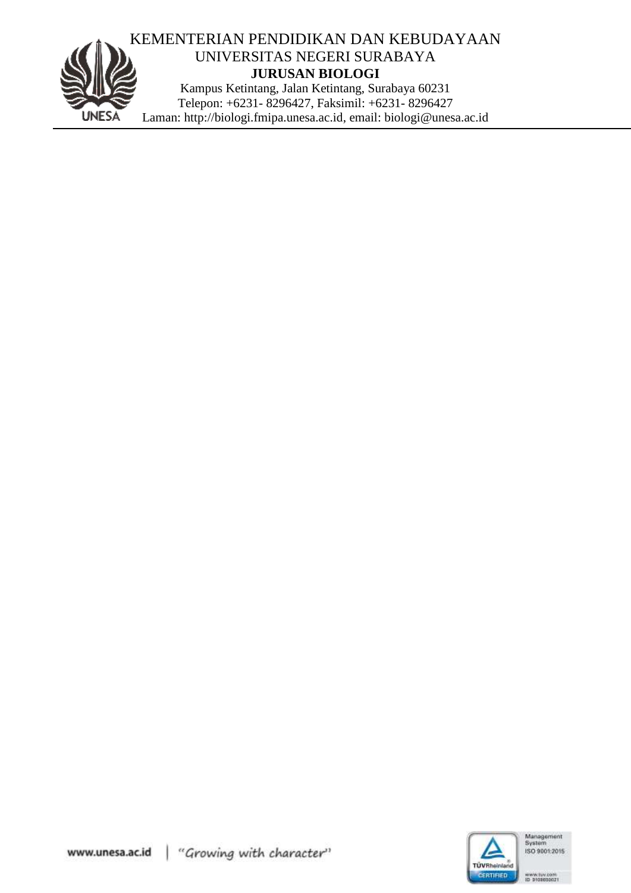

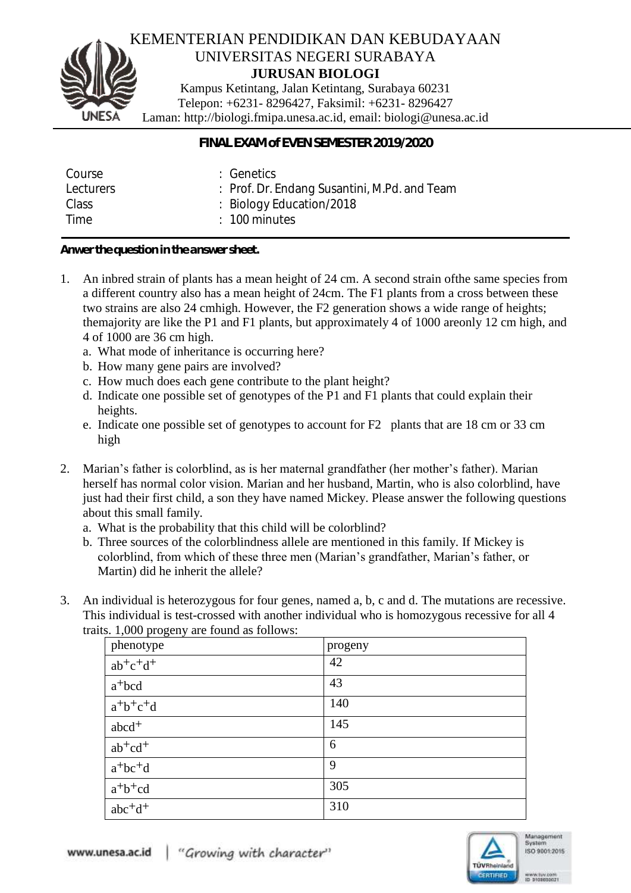

#### *FINAL EXAM of EVEN SEMESTER 2019/2020*

| Course    | : Genetics                                   |
|-----------|----------------------------------------------|
| Lecturers | : Prof. Dr. Endang Susantini, M.Pd. and Team |
| Class     | : Biology Education/2018                     |
| Time      | $\div$ 100 minutes                           |
|           |                                              |

*Anwer the question in the answer sheet.*

- 1. An inbred strain of plants has a mean height of 24 cm. A second strain ofthe same species from a different country also has a mean height of 24cm. The F1 plants from a cross between these two strains are also 24 cmhigh. However, the F2 generation shows a wide range of heights; themajority are like the P1 and F1 plants, but approximately 4 of 1000 areonly 12 cm high, and 4 of 1000 are 36 cm high.
	- a. What mode of inheritance is occurring here?
	- b. How many gene pairs are involved?
	- c. How much does each gene contribute to the plant height?
	- d. Indicate one possible set of genotypes of the P1 and F1 plants that could explain their heights.
	- e. Indicate one possible set of genotypes to account for F2 plants that are 18 cm or 33 cm high
- 2. Marian's father is colorblind, as is her maternal grandfather (her mother's father). Marian herself has normal color vision. Marian and her husband, Martin, who is also colorblind, have just had their first child, a son they have named Mickey. Please answer the following questions about this small family.
	- a. What is the probability that this child will be colorblind?
	- b. Three sources of the colorblindness allele are mentioned in this family. If Mickey is colorblind, from which of these three men (Marian's grandfather, Marian's father, or Martin) did he inherit the allele?
- 3. An individual is heterozygous for four genes, named a, b, c and d. The mutations are recessive. This individual is test-crossed with another individual who is homozygous recessive for all 4 traits. 1,000 progeny are found as follows:

| $\gamma$ - - -<br>$\Gamma$ $\sigma$ $\sigma$ |         |
|----------------------------------------------|---------|
| phenotype                                    | progeny |
| $ab+c+d+$                                    | 42      |
| $a^{+}bcd$                                   | 43      |
| $a^+b^+c^+d$                                 | 140     |
| $abcd$ <sup>+</sup>                          | 145     |
| $ab + cd +$                                  | 6       |
| $a^+bc^+d$                                   | 9       |
| $a^+b^+cd$                                   | 305     |
| $abc+d+$                                     | 310     |